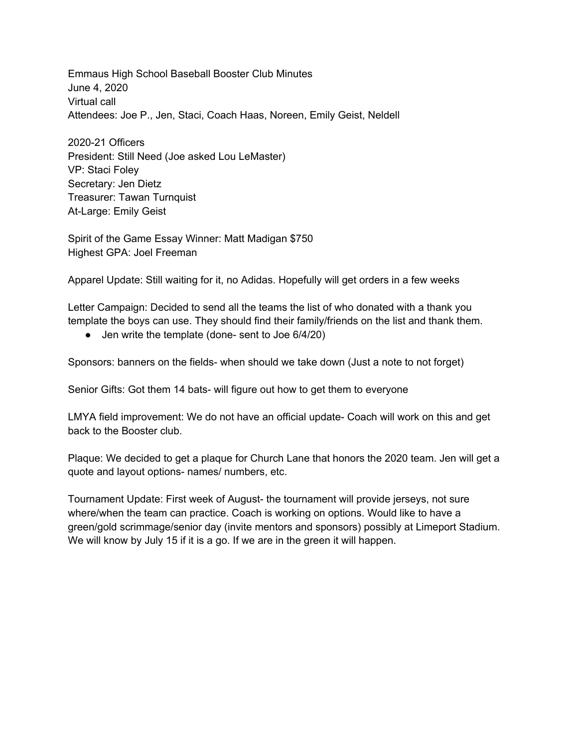Emmaus High School Baseball Booster Club Minutes June 4, 2020 Virtual call Attendees: Joe P., Jen, Staci, Coach Haas, Noreen, Emily Geist, Neldell

2020-21 Officers President: Still Need (Joe asked Lou LeMaster) VP: Staci Foley Secretary: Jen Dietz Treasurer: Tawan Turnquist At-Large: Emily Geist

Spirit of the Game Essay Winner: Matt Madigan \$750 Highest GPA: Joel Freeman

Apparel Update: Still waiting for it, no Adidas. Hopefully will get orders in a few weeks

Letter Campaign: Decided to send all the teams the list of who donated with a thank you template the boys can use. They should find their family/friends on the list and thank them.

● Jen write the template (done- sent to Joe 6/4/20)

Sponsors: banners on the fields- when should we take down (Just a note to not forget)

Senior Gifts: Got them 14 bats- will figure out how to get them to everyone

LMYA field improvement: We do not have an official update- Coach will work on this and get back to the Booster club.

Plaque: We decided to get a plaque for Church Lane that honors the 2020 team. Jen will get a quote and layout options- names/ numbers, etc.

Tournament Update: First week of August- the tournament will provide jerseys, not sure where/when the team can practice. Coach is working on options. Would like to have a green/gold scrimmage/senior day (invite mentors and sponsors) possibly at Limeport Stadium. We will know by July 15 if it is a go. If we are in the green it will happen.